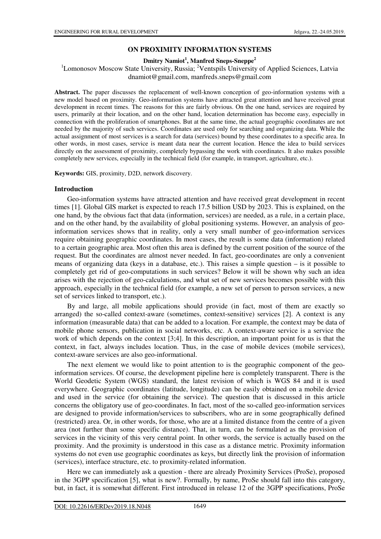### **ON PROXIMITY INFORMATION SYSTEMS**

**Dmitry Namiot<sup>1</sup> , Manfred Sneps-Sneppe<sup>2</sup>**

<sup>1</sup>Lomonosov Moscow State University, Russia; <sup>2</sup>Ventspils University of Applied Sciences, Latvia dnamiot@gmail.com, manfreds.sneps@gmail.com

**Abstract.** The paper discusses the replacement of well-known conception of geo-information systems with a new model based on proximity. Geo-information systems have attracted great attention and have received great development in recent times. The reasons for this are fairly obvious. On the one hand, services are required by users, primarily at their location, and on the other hand, location determination has become easy, especially in connection with the proliferation of smartphones. But at the same time, the actual geographic coordinates are not needed by the majority of such services. Coordinates are used only for searching and organizing data. While the actual assignment of most services is a search for data (services) bound by these coordinates to a specific area. In other words, in most cases, service is meant data near the current location. Hence the idea to build services directly on the assessment of proximity, completely bypassing the work with coordinates. It also makes possible completely new services, especially in the technical field (for example, in transport, agriculture, etc.).

**Keywords:** GIS, proximity, D2D, network discovery.

#### **Introduction**

Geo-information systems have attracted attention and have received great development in recent times [1]. Global GIS market is expected to reach 17.5 billion USD by 2023. This is explained, on the one hand, by the obvious fact that data (information, services) are needed, as a rule, in a certain place, and on the other hand, by the availability of global positioning systems. However, an analysis of geoinformation services shows that in reality, only a very small number of geo-information services require obtaining geographic coordinates. In most cases, the result is some data (information) related to a certain geographic area. Most often this area is defined by the current position of the source of the request. But the coordinates are almost never needed. In fact, geo-coordinates are only a convenient means of organizing data (keys in a database, etc.). This raises a simple question – is it possible to completely get rid of geo-computations in such services? Below it will be shown why such an idea arises with the rejection of geo-calculations, and what set of new services becomes possible with this approach, especially in the technical field (for example, a new set of person to person services, a new set of services linked to transport, etc.).

By and large, all mobile applications should provide (in fact, most of them are exactly so arranged) the so-called context-aware (sometimes, context-sensitive) services [2]. A context is any information (measurable data) that can be added to a location. For example, the context may be data of mobile phone sensors, publication in social networks, etc. A context-aware service is a service the work of which depends on the context [3;4]. In this description, an important point for us is that the context, in fact, always includes location. Thus, in the case of mobile devices (mobile services), context-aware services are also geo-informational.

The next element we would like to point attention to is the geographic component of the geoinformation services. Of course, the development pipeline here is completely transparent. There is the World Geodetic System (WGS) standard, the latest revision of which is WGS 84 and it is used everywhere. Geographic coordinates (latitude, longitude) can be easily obtained on a mobile device and used in the service (for obtaining the service). The question that is discussed in this article concerns the obligatory use of geo-coordinates. In fact, most of the so-called geo-information services are designed to provide information/services to subscribers, who are in some geographically defined (restricted) area. Or, in other words, for those, who are at a limited distance from the centre of a given area (not further than some specific distance). That, in turn, can be formulated as the provision of services in the vicinity of this very central point. In other words, the service is actually based on the proximity. And the proximity is understood in this case as a distance metric. Proximity information systems do not even use geographic coordinates as keys, but directly link the provision of information (services), interface structure, etc. to proximity-related information.

Here we can immediately ask a question - there are already Proximity Services (ProSe), proposed in the 3GPP specification [5], what is new?. Formally, by name, ProSe should fall into this category, but, in fact, it is somewhat different. First introduced in release 12 of the 3GPP specifications, ProSe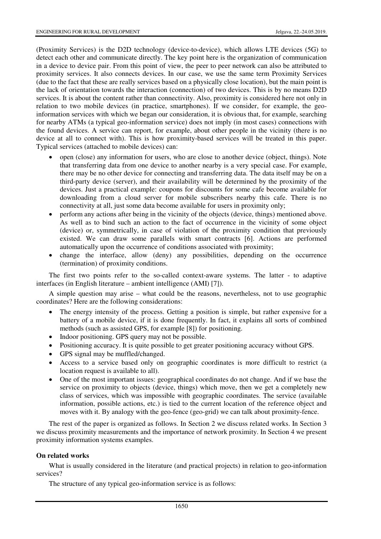(Proximity Services) is the D2D technology (device-to-device), which allows LTE devices (5G) to detect each other and communicate directly. The key point here is the organization of communication in a device to device pair. From this point of view, the peer to peer network can also be attributed to proximity services. It also connects devices. In our case, we use the same term Proximity Services (due to the fact that these are really services based on a physically close location), but the main point is the lack of orientation towards the interaction (connection) of two devices. This is by no means D2D services. It is about the content rather than connectivity. Also, proximity is considered here not only in relation to two mobile devices (in practice, smartphones). If we consider, for example, the geoinformation services with which we began our consideration, it is obvious that, for example, searching for nearby ATMs (a typical geo-information service) does not imply (in most cases) connections with the found devices. A service can report, for example, about other people in the vicinity (there is no device at all to connect with). This is how proximity-based services will be treated in this paper. Typical services (attached to mobile devices) can:

- open (close) any information for users, who are close to another device (object, things). Note that transferring data from one device to another nearby is a very special case. For example, there may be no other device for connecting and transferring data. The data itself may be on a third-party device (server), and their availability will be determined by the proximity of the devices. Just a practical example: coupons for discounts for some cafe become available for downloading from a cloud server for mobile subscribers nearby this cafe. There is no connectivity at all, just some data become available for users in proximity only;
- perform any actions after being in the vicinity of the objects (device, things) mentioned above. As well as to bind such an action to the fact of occurrence in the vicinity of some object (device) or, symmetrically, in case of violation of the proximity condition that previously existed. We can draw some parallels with smart contracts [6]. Actions are performed automatically upon the occurrence of conditions associated with proximity;
- change the interface, allow (deny) any possibilities, depending on the occurrence (termination) of proximity conditions.

The first two points refer to the so-called context-aware systems. The latter - to adaptive interfaces (in English literature – ambient intelligence (AMI) [7]).

A simple question may arise – what could be the reasons, nevertheless, not to use geographic coordinates? Here are the following considerations:

- The energy intensity of the process. Getting a position is simple, but rather expensive for a battery of a mobile device, if it is done frequently. In fact, it explains all sorts of combined methods (such as assisted GPS, for example [8]) for positioning.
- Indoor positioning. GPS query may not be possible.
- Positioning accuracy. It is quite possible to get greater positioning accuracy without GPS.
- GPS signal may be muffled/changed.
- Access to a service based only on geographic coordinates is more difficult to restrict (a location request is available to all).
- One of the most important issues: geographical coordinates do not change. And if we base the service on proximity to objects (device, things) which move, then we get a completely new class of services, which was impossible with geographic coordinates. The service (available information, possible actions, etc.) is tied to the current location of the reference object and moves with it. By analogy with the geo-fence (geo-grid) we can talk about proximity-fence.

The rest of the paper is organized as follows. In Section 2 we discuss related works. In Section 3 we discuss proximity measurements and the importance of network proximity. In Section 4 we present proximity information systems examples.

### **On related works**

What is usually considered in the literature (and practical projects) in relation to geo-information services?

The structure of any typical geo-information service is as follows: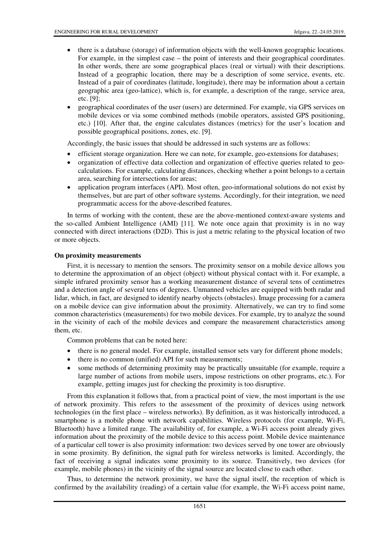- there is a database (storage) of information objects with the well-known geographic locations. For example, in the simplest case – the point of interests and their geographical coordinates. In other words, there are some geographical places (real or virtual) with their descriptions. Instead of a geographic location, there may be a description of some service, events, etc. Instead of a pair of coordinates (latitude, longitude), there may be information about a certain geographic area (geo-lattice), which is, for example, a description of the range, service area, etc. [9];
- geographical coordinates of the user (users) are determined. For example, via GPS services on mobile devices or via some combined methods (mobile operators, assisted GPS positioning, etc.) [10]. After that, the engine calculates distances (metrics) for the user's location and possible geographical positions, zones, etc. [9].

Accordingly, the basic issues that should be addressed in such systems are as follows:

- efficient storage organization. Here we can note, for example, geo-extensions for databases;
- organization of effective data collection and organization of effective queries related to geocalculations. For example, calculating distances, checking whether a point belongs to a certain area, searching for intersections for areas;
- application program interfaces (API). Most often, geo-informational solutions do not exist by themselves, but are part of other software systems. Accordingly, for their integration, we need programmatic access for the above-described features.

In terms of working with the content, these are the above-mentioned context-aware systems and the so-called Ambient Intelligence (AMI) [11]. We note once again that proximity is in no way connected with direct interactions (D2D). This is just a metric relating to the physical location of two or more objects.

## **On proximity measurements**

First, it is necessary to mention the sensors. The proximity sensor on a mobile device allows you to determine the approximation of an object (object) without physical contact with it. For example, a simple infrared proximity sensor has a working measurement distance of several tens of centimetres and a detection angle of several tens of degrees. Unmanned vehicles are equipped with both radar and lidar, which, in fact, are designed to identify nearby objects (obstacles). Image processing for a camera on a mobile device can give information about the proximity. Alternatively, we can try to find some common characteristics (measurements) for two mobile devices. For example, try to analyze the sound in the vicinity of each of the mobile devices and compare the measurement characteristics among them, etc.

Common problems that can be noted here:

- there is no general model. For example, installed sensor sets vary for different phone models;
- there is no common (unified) API for such measurements;
- some methods of determining proximity may be practically unsuitable (for example, require a large number of actions from mobile users, impose restrictions on other programs, etc.). For example, getting images just for checking the proximity is too disruptive.

From this explanation it follows that, from a practical point of view, the most important is the use of network proximity. This refers to the assessment of the proximity of devices using network technologies (in the first place – wireless networks). By definition, as it was historically introduced, a smartphone is a mobile phone with network capabilities. Wireless protocols (for example, Wi-Fi, Bluetooth) have a limited range. The availability of, for example, a Wi-Fi access point already gives information about the proximity of the mobile device to this access point. Mobile device maintenance of a particular cell tower is also proximity information: two devices served by one tower are obviously in some proximity. By definition, the signal path for wireless networks is limited. Accordingly, the fact of receiving a signal indicates some proximity to its source. Transitively, two devices (for example, mobile phones) in the vicinity of the signal source are located close to each other.

Thus, to determine the network proximity, we have the signal itself, the reception of which is confirmed by the availability (reading) of a certain value (for example, the Wi-Fi access point name,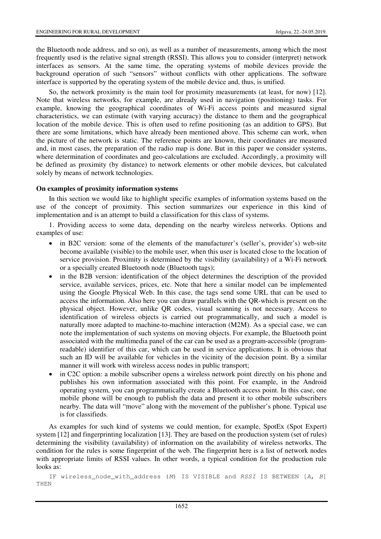the Bluetooth node address, and so on), as well as a number of measurements, among which the most frequently used is the relative signal strength (RSSI). This allows you to consider (interpret) network interfaces as sensors. At the same time, the operating systems of mobile devices provide the background operation of such "sensors" without conflicts with other applications. The software interface is supported by the operating system of the mobile device and, thus, is unified.

So, the network proximity is the main tool for proximity measurements (at least, for now) [12]. Note that wireless networks, for example, are already used in navigation (positioning) tasks. For example, knowing the geographical coordinates of Wi-Fi access points and measured signal characteristics, we can estimate (with varying accuracy) the distance to them and the geographical location of the mobile device. This is often used to refine positioning (as an addition to GPS). But there are some limitations, which have already been mentioned above. This scheme can work, when the picture of the network is static. The reference points are known, their coordinates are measured and, in most cases, the preparation of the radio map is done. But in this paper we consider systems, where determination of coordinates and geo-calculations are excluded. Accordingly, a proximity will be defined as proximity (by distance) to network elements or other mobile devices, but calculated solely by means of network technologies.

### **On examples of proximity information systems**

In this section we would like to highlight specific examples of information systems based on the use of the concept of proximity. This section summarizes our experience in this kind of implementation and is an attempt to build a classification for this class of systems.

1. Providing access to some data, depending on the nearby wireless networks. Options and examples of use:

- in B2C version: some of the elements of the manufacturer's (seller's, provider's) web-site become available (visible) to the mobile user, when this user is located close to the location of service provision. Proximity is determined by the visibility (availability) of a Wi-Fi network or a specially created Bluetooth node (Bluetooth tags);
- in the B2B version: identification of the object determines the description of the provided service, available services, prices, etc. Note that here a similar model can be implemented using the Google Physical Web. In this case, the tags send some URL that can be used to access the information. Also here you can draw parallels with the QR-which is present on the physical object. However, unlike QR codes, visual scanning is not necessary. Access to identification of wireless objects is carried out programmatically, and such a model is naturally more adapted to machine-to-machine interaction (M2M). As a special case, we can note the implementation of such systems on moving objects. For example, the Bluetooth point associated with the multimedia panel of the car can be used as a program-accessible (programreadable) identifier of this car, which can be used in service applications. It is obvious that such an ID will be available for vehicles in the vicinity of the decision point. By a similar manner it will work with wireless access nodes in public transport;
- in C2C option: a mobile subscriber opens a wireless network point directly on his phone and publishes his own information associated with this point. For example, in the Android operating system, you can programmatically create a Bluetooth access point. In this case, one mobile phone will be enough to publish the data and present it to other mobile subscribers nearby. The data will "move" along with the movement of the publisher's phone. Typical use is for classifieds.

As examples for such kind of systems we could mention, for example, SpotEх (Spot Expert) system [12] and fingerprinting localization [13]. They are based on the production system (set of rules) determining the visibility (availability) of information on the availability of wireless networks. The condition for the rules is some fingerprint of the web. The fingerprint here is a list of network nodes with appropriate limits of RSSI values. In other words, a typical condition for the production rule looks as:

IF wireless\_node\_with\_address (M) IS VISIBLE and RSSI IS BETWEEN [A, B] THEN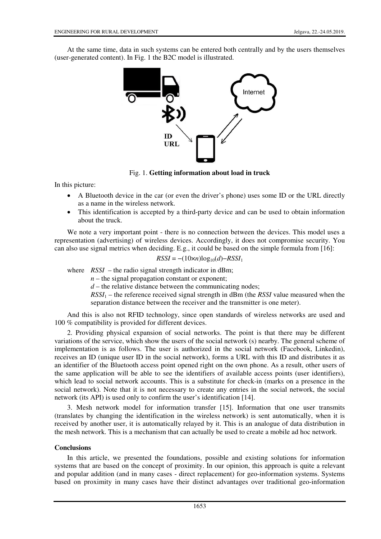At the same time, data in such systems can be entered both centrally and by the users themselves (user-generated content). In Fig. 1 the B2C model is illustrated.



Fig. 1. **Getting information about load in truck**

In this picture:

- A Bluetooth device in the car (or even the driver's phone) uses some ID or the URL directly as a name in the wireless network.
- This identification is accepted by a third-party device and can be used to obtain information about the truck.

We note a very important point - there is no connection between the devices. This model uses a representation (advertising) of wireless devices. Accordingly, it does not compromise security. You can also use signal metrics when deciding. E.g., it could be based on the simple formula from [16]:

$$
RSSI = -(10 \times n) \log_{10}(d) - RSSI_1
$$

where  $RSSI$  – the radio signal strength indicator in dBm;

 $n$  – the signal propagation constant or exponent;

 $d$  – the relative distance between the communicating nodes;

*RSSI*1 – the reference received signal strength in dBm (the *RSSI* value measured when the separation distance between the receiver and the transmitter is one meter).

And this is also not RFID technology, since open standards of wireless networks are used and 100 % compatibility is provided for different devices.

2. Providing physical expansion of social networks. The point is that there may be different variations of the service, which show the users of the social network (s) nearby. The general scheme of implementation is as follows. The user is authorized in the social network (Facebook, Linkedin), receives an ID (unique user ID in the social network), forms a URL with this ID and distributes it as an identifier of the Bluetooth access point opened right on the own phone. As a result, other users of the same application will be able to see the identifiers of available access points (user identifiers), which lead to social network accounts. This is a substitute for check-in (marks on a presence in the social network). Note that it is not necessary to create any entries in the social network, the social network (its API) is used only to confirm the user's identification [14].

3. Mesh network model for information transfer [15]. Information that one user transmits (translates by changing the identification in the wireless network) is sent automatically, when it is received by another user, it is automatically relayed by it. This is an analogue of data distribution in the mesh network. This is a mechanism that can actually be used to create a mobile ad hoc network.

## **Conclusions**

In this article, we presented the foundations, possible and existing solutions for information systems that are based on the concept of proximity. In our opinion, this approach is quite a relevant and popular addition (and in many cases - direct replacement) for geo-information systems. Systems based on proximity in many cases have their distinct advantages over traditional geo-information